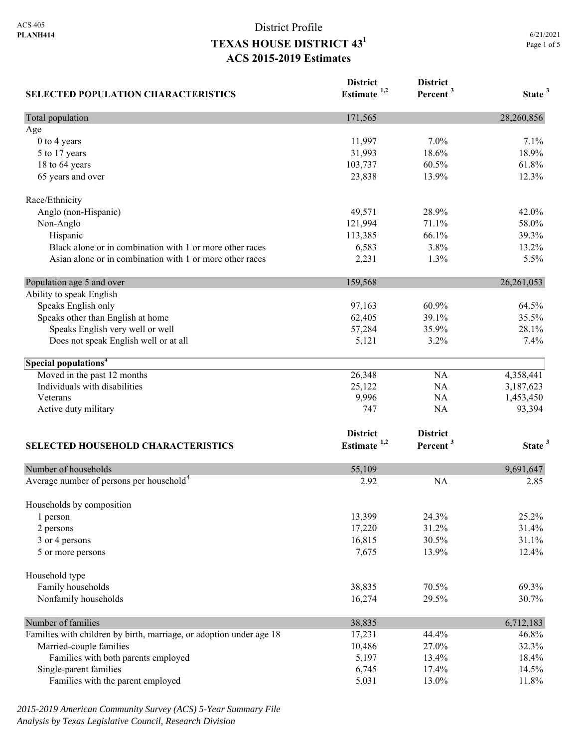| <b>SELECTED POPULATION CHARACTERISTICS</b>                          | <b>District</b><br>Estimate $1,2$ | <b>District</b><br>Percent <sup>3</sup> | State <sup>3</sup> |
|---------------------------------------------------------------------|-----------------------------------|-----------------------------------------|--------------------|
| Total population                                                    | 171,565                           |                                         | 28,260,856         |
| Age                                                                 |                                   |                                         |                    |
| 0 to 4 years                                                        | 11,997                            | 7.0%                                    | 7.1%               |
| 5 to 17 years                                                       | 31,993                            | 18.6%                                   | 18.9%              |
| 18 to 64 years                                                      | 103,737                           | 60.5%                                   | 61.8%              |
| 65 years and over                                                   | 23,838                            | 13.9%                                   | 12.3%              |
| Race/Ethnicity                                                      |                                   |                                         |                    |
| Anglo (non-Hispanic)                                                | 49,571                            | 28.9%                                   | 42.0%              |
| Non-Anglo                                                           | 121,994                           | 71.1%                                   | 58.0%              |
| Hispanic                                                            | 113,385                           | 66.1%                                   | 39.3%              |
| Black alone or in combination with 1 or more other races            | 6,583                             | 3.8%                                    | 13.2%              |
| Asian alone or in combination with 1 or more other races            | 2,231                             | 1.3%                                    | 5.5%               |
| Population age 5 and over                                           | 159,568                           |                                         | 26, 261, 053       |
| Ability to speak English                                            |                                   |                                         |                    |
| Speaks English only                                                 | 97,163                            | 60.9%                                   | 64.5%              |
| Speaks other than English at home                                   | 62,405                            | 39.1%                                   | 35.5%              |
| Speaks English very well or well                                    | 57,284                            | 35.9%                                   | 28.1%              |
| Does not speak English well or at all                               | 5,121                             | 3.2%                                    | 7.4%               |
| Special populations <sup>4</sup>                                    |                                   |                                         |                    |
| Moved in the past 12 months                                         | 26,348                            | NA                                      | 4,358,441          |
| Individuals with disabilities                                       | 25,122                            | NA                                      | 3,187,623          |
| Veterans                                                            | 9,996                             | NA                                      | 1,453,450          |
| Active duty military                                                | 747                               | NA                                      | 93,394             |
|                                                                     | <b>District</b>                   | <b>District</b>                         |                    |
| SELECTED HOUSEHOLD CHARACTERISTICS                                  | Estimate <sup>1,2</sup>           | Percent <sup>3</sup>                    | State <sup>3</sup> |
|                                                                     |                                   |                                         |                    |
| Number of households                                                | 55,109                            |                                         | 9,691,647          |
| Average number of persons per household <sup>4</sup>                | 2.92                              | <b>NA</b>                               | 2.85               |
| Households by composition                                           |                                   |                                         |                    |
| 1 person                                                            | 13,399                            | 24.3%                                   | 25.2%              |
| 2 persons                                                           | 17,220                            | 31.2%                                   | 31.4%              |
| 3 or 4 persons                                                      | 16,815                            | 30.5%                                   | 31.1%              |
| 5 or more persons                                                   | 7,675                             | 13.9%                                   | 12.4%              |
| Household type                                                      |                                   |                                         |                    |
| Family households                                                   | 38,835                            | 70.5%                                   | 69.3%              |
| Nonfamily households                                                | 16,274                            | 29.5%                                   | 30.7%              |
| Number of families                                                  | 38,835                            |                                         | 6,712,183          |
| Families with children by birth, marriage, or adoption under age 18 | 17,231                            | 44.4%                                   | 46.8%              |
| Married-couple families                                             | 10,486                            | 27.0%                                   | 32.3%              |
| Families with both parents employed                                 | 5,197                             | 13.4%                                   | 18.4%              |
| Single-parent families                                              | 6,745                             | 17.4%                                   | 14.5%              |
| Families with the parent employed                                   | 5,031                             | 13.0%                                   | 11.8%              |

*2015-2019 American Community Survey (ACS) 5-Year Summary File Analysis by Texas Legislative Council, Research Division*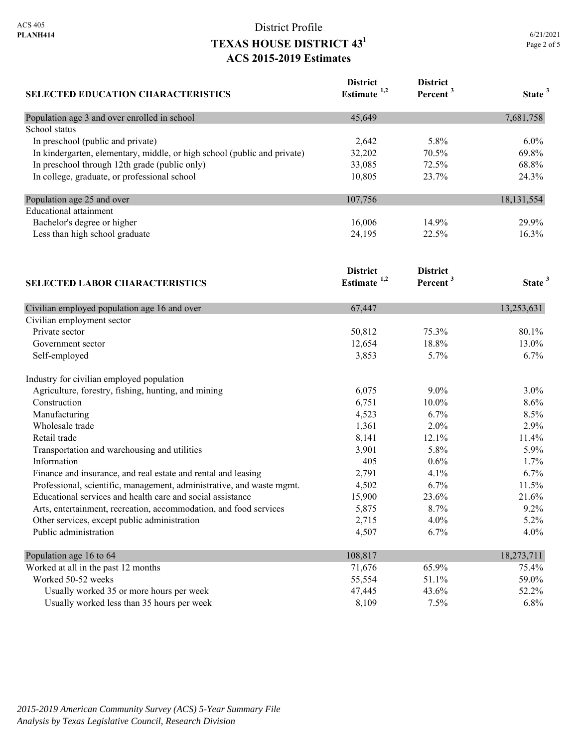| <b>SELECTED EDUCATION CHARACTERISTICS</b>                                | <b>District</b>         | <b>District</b><br>Percent <sup>3</sup> | State <sup>3</sup> |
|--------------------------------------------------------------------------|-------------------------|-----------------------------------------|--------------------|
|                                                                          | Estimate <sup>1,2</sup> |                                         |                    |
| Population age 3 and over enrolled in school                             | 45,649                  |                                         | 7,681,758          |
| School status                                                            |                         |                                         |                    |
| In preschool (public and private)                                        | 2,642                   | 5.8%                                    | 6.0%               |
| In kindergarten, elementary, middle, or high school (public and private) | 32,202                  | 70.5%                                   | 69.8%              |
| In preschool through 12th grade (public only)                            | 33,085                  | 72.5%                                   | 68.8%              |
| In college, graduate, or professional school                             | 10,805                  | 23.7%                                   | 24.3%              |
| Population age 25 and over                                               | 107,756                 |                                         | 18, 131, 554       |
| <b>Educational</b> attainment                                            |                         |                                         |                    |
| Bachelor's degree or higher                                              | 16,006                  | 14.9%                                   | 29.9%              |
| Less than high school graduate                                           | 24,195                  | 22.5%                                   | 16.3%              |
|                                                                          | <b>District</b>         | <b>District</b>                         |                    |
| <b>SELECTED LABOR CHARACTERISTICS</b>                                    | Estimate <sup>1,2</sup> | Percent <sup>3</sup>                    | State <sup>3</sup> |
| Civilian employed population age 16 and over                             | 67,447                  |                                         | 13,253,631         |
| Civilian employment sector                                               |                         |                                         |                    |
| Private sector                                                           | 50,812                  | 75.3%                                   | 80.1%              |
| Government sector                                                        | 12,654                  | 18.8%                                   | 13.0%              |
| Self-employed                                                            | 3,853                   | 5.7%                                    | 6.7%               |
| Industry for civilian employed population                                |                         |                                         |                    |
| Agriculture, forestry, fishing, hunting, and mining                      | 6,075                   | $9.0\%$                                 | $3.0\%$            |
| Construction                                                             | 6,751                   | 10.0%                                   | 8.6%               |
| Manufacturing                                                            | 4,523                   | 6.7%                                    | 8.5%               |
| Wholesale trade                                                          | 1,361                   | 2.0%                                    | 2.9%               |
| Retail trade                                                             | 8,141                   | 12.1%                                   | 11.4%              |
| Transportation and warehousing and utilities                             | 3,901                   | 5.8%                                    | 5.9%               |
| Information                                                              | 405                     | 0.6%                                    | 1.7%               |
| Finance and insurance, and real estate and rental and leasing            | 2,791                   | 4.1%                                    | 6.7%               |
| Professional, scientific, management, administrative, and waste mgmt.    | 4,502                   | 6.7%                                    | 11.5%              |
| Educational services and health care and social assistance               | 15,900                  | 23.6%                                   | 21.6%              |
| Arts, entertainment, recreation, accommodation, and food services        | 5,875                   | 8.7%                                    | 9.2%               |
| Other services, except public administration                             | 2,715                   | 4.0%                                    | 5.2%               |
| Public administration                                                    | 4,507                   | 6.7%                                    | 4.0%               |
| Population age 16 to 64                                                  | 108,817                 |                                         | 18,273,711         |
| Worked at all in the past 12 months                                      | 71,676                  | 65.9%                                   | 75.4%              |
| Worked 50-52 weeks                                                       | 55,554                  | 51.1%                                   | 59.0%              |
| Usually worked 35 or more hours per week                                 | 47,445                  | 43.6%                                   | 52.2%              |
| Usually worked less than 35 hours per week                               | 8,109                   | 7.5%                                    | 6.8%               |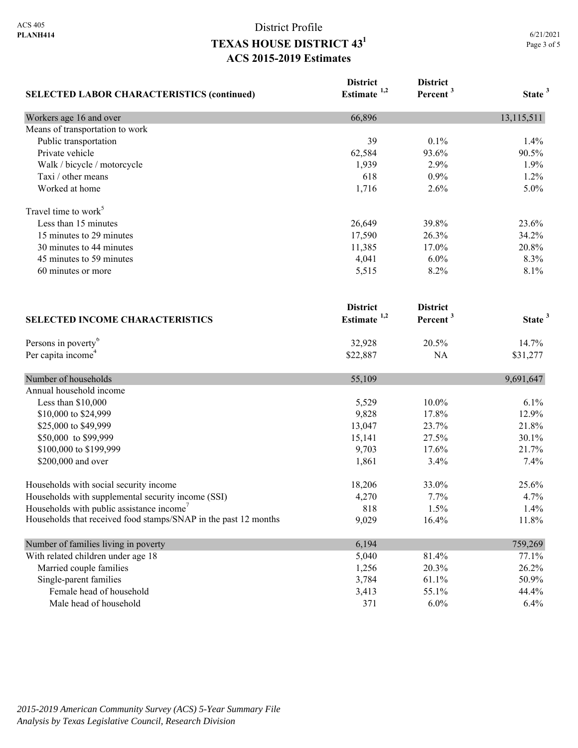| <b>SELECTED LABOR CHARACTERISTICS (continued)</b>               | <b>District</b><br>Estimate <sup>1,2</sup> | <b>District</b><br>Percent <sup>3</sup> | State <sup>3</sup> |
|-----------------------------------------------------------------|--------------------------------------------|-----------------------------------------|--------------------|
| Workers age 16 and over                                         | 66,896                                     |                                         | 13,115,511         |
| Means of transportation to work                                 |                                            |                                         |                    |
| Public transportation                                           | 39                                         | 0.1%                                    | 1.4%               |
| Private vehicle                                                 | 62,584                                     | 93.6%                                   | 90.5%              |
| Walk / bicycle / motorcycle                                     | 1,939                                      | 2.9%                                    | 1.9%               |
| Taxi / other means                                              | 618                                        | 0.9%                                    | 1.2%               |
| Worked at home                                                  | 1,716                                      | 2.6%                                    | 5.0%               |
| Travel time to work <sup>5</sup>                                |                                            |                                         |                    |
| Less than 15 minutes                                            | 26,649                                     | 39.8%                                   | 23.6%              |
| 15 minutes to 29 minutes                                        | 17,590                                     | 26.3%                                   | 34.2%              |
| 30 minutes to 44 minutes                                        | 11,385                                     | 17.0%                                   | 20.8%              |
| 45 minutes to 59 minutes                                        | 4,041                                      | 6.0%                                    | 8.3%               |
| 60 minutes or more                                              | 5,515                                      | 8.2%                                    | 8.1%               |
|                                                                 | <b>District</b>                            | <b>District</b>                         |                    |
| <b>SELECTED INCOME CHARACTERISTICS</b>                          | Estimate $1,2$                             | Percent <sup>3</sup>                    | State <sup>3</sup> |
| Persons in poverty <sup>6</sup>                                 | 32,928                                     | 20.5%                                   | 14.7%              |
| Per capita income <sup>4</sup>                                  | \$22,887                                   | NA                                      | \$31,277           |
| Number of households                                            | 55,109                                     |                                         | 9,691,647          |
| Annual household income                                         |                                            |                                         |                    |
| Less than \$10,000                                              | 5,529                                      | 10.0%                                   | 6.1%               |
| \$10,000 to \$24,999                                            | 9,828                                      | 17.8%                                   | 12.9%              |
| \$25,000 to \$49,999                                            | 13,047                                     | 23.7%                                   | 21.8%              |
| \$50,000 to \$99,999                                            | 15,141                                     | 27.5%                                   | 30.1%              |
| \$100,000 to \$199,999                                          | 9,703                                      | 17.6%                                   | 21.7%              |
| \$200,000 and over                                              | 1,861                                      | 3.4%                                    | 7.4%               |
| Households with social security income                          | 18,206                                     | 33.0%                                   | 25.6%              |
| Households with supplemental security income (SSI)              | 4,270                                      | 7.7%                                    | 4.7%               |
| Households with public assistance income <sup>7</sup>           | 818                                        | 1.5%                                    | 1.4%               |
| Households that received food stamps/SNAP in the past 12 months | 9,029                                      | 16.4%                                   | 11.8%              |
| Number of families living in poverty                            | 6,194                                      |                                         | 759,269            |
| With related children under age 18                              | 5,040                                      | 81.4%                                   | 77.1%              |
| Married couple families                                         | 1,256                                      | 20.3%                                   | 26.2%              |
| Single-parent families                                          | 3,784                                      | 61.1%                                   | 50.9%              |
| Female head of household                                        | 3,413                                      | 55.1%                                   | 44.4%              |
| Male head of household                                          | 371                                        | $6.0\%$                                 | 6.4%               |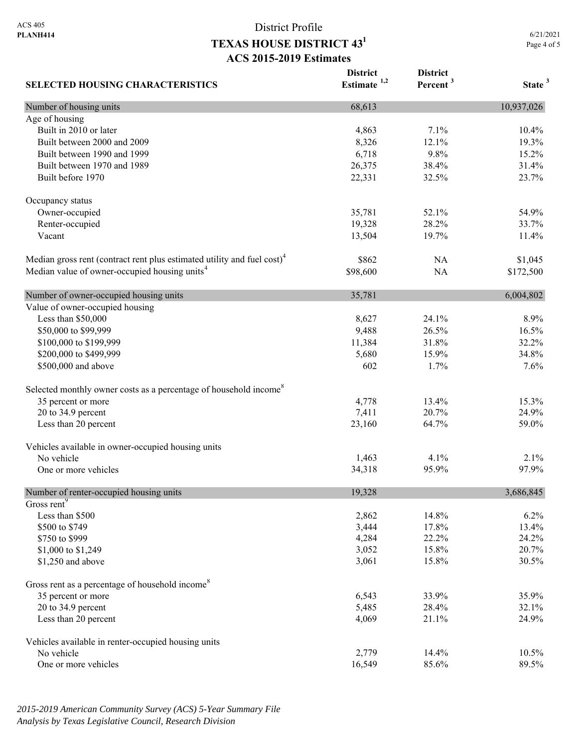**SELECTED HOUSING CHARACTERISTICS District Estimate 1,2 District Percent <sup>3</sup> State <sup>3</sup>** Number of housing units 10,937,026 Age of housing Built in 2010 or later 10.4% 10.4% 10.4% 10.4% 10.4% 10.4% 10.4% 10.4% 10.4% 10.4% 10.4% 10.4% 10.4% 10.4% 10.5 Built between 2000 and 2009 19.3% 19.3% 19.3% Built between 1990 and 1999 **6,718** 9.8% 15.2% Built between 1970 and 1989 26,375 38.4% 31.4% 31.4% Built before 1970 22,331 32.5% 23.7% 23.7% Occupancy status Owner-occupied 35,781 52.1% 54.9% Renter-occupied 19,328 28.2% 33.7% Vacant 13,504 19.7% 11.4% Median gross rent (contract rent plus estimated utility and fuel cost)<sup>4</sup> \$862 NA \$1,045 Median value of owner-occupied housing units<sup>4</sup> \$98,600 NA \$172,500 Number of owner-occupied housing units 35,781 6,004,802 Value of owner-occupied housing Less than \$50,000 8,627 24.1% 8.9% \$50,000 to \$99,999 50,000 PM 30,000 16.5% 16.5% 16.5% 16.5% 16.5% \$100,000 to \$199,999 11,384 31.8% 32.2% 32.2% \$200,000 to \$499,999 34.8% 36.680 5,680 34.8% \$500,000 and above 602 1.7% 7.6% 7.6% Selected monthly owner costs as a percentage of household income<sup>8</sup> 35 percent or more 15.3% 13.4% 15.3% 20 to 34.9 percent 24.9% 24.9% 26.7% 26.7% 26.9% 26.9% 26.9% 26.9% 26.9% 26.9% 26.9% 26.9% 26.9% 26.9% 26.9% 26 Less than 20 percent 59.0% 59.0% 64.7% 59.0% Vehicles available in owner-occupied housing units No vehicle  $1,463$   $4.1\%$   $2.1\%$ One or more vehicles 97.9% 97.9% 97.9% Number of renter-occupied housing units 19,328 3,686,845 Gross rent<sup>9</sup> Less than \$500  $2,862$   $14.8\%$   $6.2\%$ \$500 to \$749 **3,444** 17.8% 13.4%  $\frac{$750 \text{ to } $999}$  24.2% 24.2% \$1,000 to \$1,249 3,052 15.8% 20.7% \$1,250 and above 30.5% 30.5% 30.5% 30.5% 30.5% 30.5% 30.5% 30.5% 30.5% 30.5% 30.5% 30.5% 30.5% 30.5% 30.5% 30.5% 30.5% 30.5% 30.5% 30.5% 30.5% 30.5% 30.5% 30.5% 30.5% 30.5% 30.5% 30.5% 30.5% 30.5% 30.5% 30.5% 30.5% 30.5% 3 Gross rent as a percentage of household income<sup>8</sup> 35 percent or more 35.9% 35.9% 35.9% 20 to 34.9 percent 32.1% 32.1% Less than 20 percent  $4,069$   $21.1\%$   $24.9\%$ Vehicles available in renter-occupied housing units No vehicle 2,779 14.4% 10.5% One or more vehicles 89.5% 89.5% 89.5%